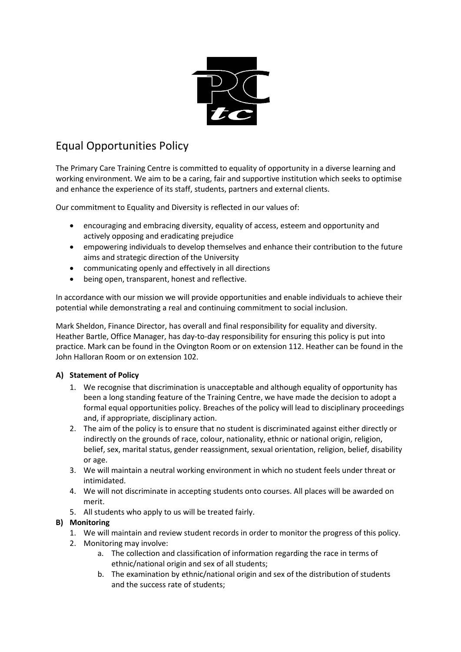

# Equal Opportunities Policy

The Primary Care Training Centre is committed to equality of opportunity in a diverse learning and working environment. We aim to be a caring, fair and supportive institution which seeks to optimise and enhance the experience of its staff, students, partners and external clients.

Our commitment to Equality and Diversity is reflected in our values of:

- encouraging and embracing diversity, equality of access, esteem and opportunity and actively opposing and eradicating prejudice
- empowering individuals to develop themselves and enhance their contribution to the future aims and strategic direction of the University
- communicating openly and effectively in all directions
- being open, transparent, honest and reflective.

In accordance with our mission we will provide opportunities and enable individuals to achieve their potential while demonstrating a real and continuing commitment to social inclusion.

Mark Sheldon, Finance Director, has overall and final responsibility for equality and diversity. Heather Bartle, Office Manager, has day-to-day responsibility for ensuring this policy is put into practice. Mark can be found in the Ovington Room or on extension 112. Heather can be found in the John Halloran Room or on extension 102.

# **A) Statement of Policy**

- 1. We recognise that discrimination is unacceptable and although equality of opportunity has been a long standing feature of the Training Centre, we have made the decision to adopt a formal equal opportunities policy. Breaches of the policy will lead to disciplinary proceedings and, if appropriate, disciplinary action.
- 2. The aim of the policy is to ensure that no student is discriminated against either directly or indirectly on the grounds of race, colour, nationality, ethnic or national origin, religion, belief, sex, marital status, gender reassignment, sexual orientation, religion, belief, disability or age.
- 3. We will maintain a neutral working environment in which no student feels under threat or intimidated.
- 4. We will not discriminate in accepting students onto courses. All places will be awarded on merit.
- 5. All students who apply to us will be treated fairly.

# **B) Monitoring**

- 1. We will maintain and review student records in order to monitor the progress of this policy.
- 2. Monitoring may involve:
	- a. The collection and classification of information regarding the race in terms of ethnic/national origin and sex of all students;
	- b. The examination by ethnic/national origin and sex of the distribution of students and the success rate of students;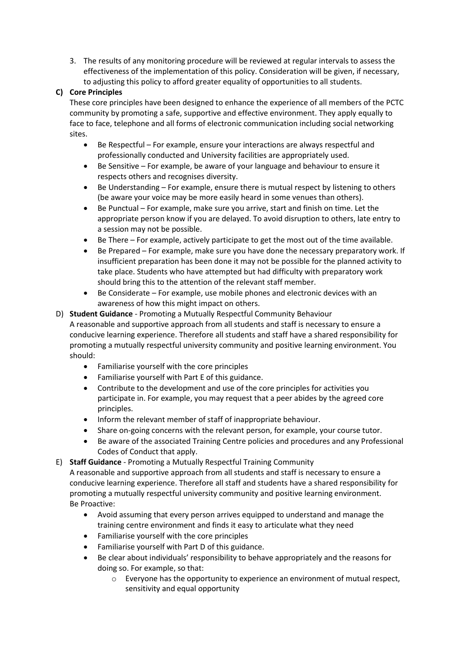3. The results of any monitoring procedure will be reviewed at regular intervals to assess the effectiveness of the implementation of this policy. Consideration will be given, if necessary, to adjusting this policy to afford greater equality of opportunities to all students.

# **C) Core Principles**

These core principles have been designed to enhance the experience of all members of the PCTC community by promoting a safe, supportive and effective environment. They apply equally to face to face, telephone and all forms of electronic communication including social networking sites.

- Be Respectful For example, ensure your interactions are always respectful and professionally conducted and University facilities are appropriately used.
- Be Sensitive For example, be aware of your language and behaviour to ensure it respects others and recognises diversity.
- Be Understanding For example, ensure there is mutual respect by listening to others (be aware your voice may be more easily heard in some venues than others).
- Be Punctual For example, make sure you arrive, start and finish on time. Let the appropriate person know if you are delayed. To avoid disruption to others, late entry to a session may not be possible.
- Be There For example, actively participate to get the most out of the time available.
- Be Prepared For example, make sure you have done the necessary preparatory work. If insufficient preparation has been done it may not be possible for the planned activity to take place. Students who have attempted but had difficulty with preparatory work should bring this to the attention of the relevant staff member.
- Be Considerate For example, use mobile phones and electronic devices with an awareness of how this might impact on others.

# D) **Student Guidance** - Promoting a Mutually Respectful Community Behaviour

A reasonable and supportive approach from all students and staff is necessary to ensure a conducive learning experience. Therefore all students and staff have a shared responsibility for promoting a mutually respectful university community and positive learning environment. You should:

- Familiarise yourself with the core principles
- Familiarise yourself with Part E of this guidance.
- Contribute to the development and use of the core principles for activities you participate in. For example, you may request that a peer abides by the agreed core principles.
- Inform the relevant member of staff of inappropriate behaviour.
- Share on-going concerns with the relevant person, for example, your course tutor.
- Be aware of the associated Training Centre policies and procedures and any Professional Codes of Conduct that apply.

# E) **Staff Guidance** - Promoting a Mutually Respectful Training Community

A reasonable and supportive approach from all students and staff is necessary to ensure a conducive learning experience. Therefore all staff and students have a shared responsibility for promoting a mutually respectful university community and positive learning environment. Be Proactive:

- Avoid assuming that every person arrives equipped to understand and manage the training centre environment and finds it easy to articulate what they need
- Familiarise yourself with the core principles
- Familiarise yourself with Part D of this guidance.
- Be clear about individuals' responsibility to behave appropriately and the reasons for doing so. For example, so that:
	- $\circ$  Everyone has the opportunity to experience an environment of mutual respect, sensitivity and equal opportunity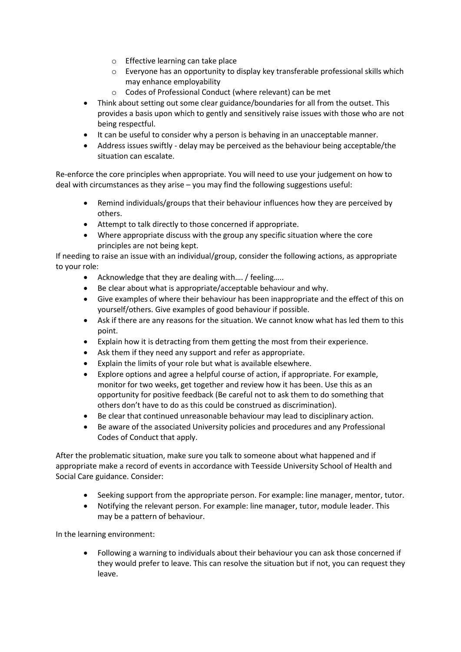- o Effective learning can take place
- o Everyone has an opportunity to display key transferable professional skills which may enhance employability
- o Codes of Professional Conduct (where relevant) can be met
- Think about setting out some clear guidance/boundaries for all from the outset. This provides a basis upon which to gently and sensitively raise issues with those who are not being respectful.
- It can be useful to consider why a person is behaving in an unacceptable manner.
- Address issues swiftly delay may be perceived as the behaviour being acceptable/the situation can escalate.

Re-enforce the core principles when appropriate. You will need to use your judgement on how to deal with circumstances as they arise – you may find the following suggestions useful:

- Remind individuals/groups that their behaviour influences how they are perceived by others.
- Attempt to talk directly to those concerned if appropriate.
- Where appropriate discuss with the group any specific situation where the core principles are not being kept.

If needing to raise an issue with an individual/group, consider the following actions, as appropriate to your role:

- Acknowledge that they are dealing with…. / feeling…..
- Be clear about what is appropriate/acceptable behaviour and why.
- Give examples of where their behaviour has been inappropriate and the effect of this on yourself/others. Give examples of good behaviour if possible.
- Ask if there are any reasons for the situation. We cannot know what has led them to this point.
- Explain how it is detracting from them getting the most from their experience.
- Ask them if they need any support and refer as appropriate.
- Explain the limits of your role but what is available elsewhere.
- Explore options and agree a helpful course of action, if appropriate. For example, monitor for two weeks, get together and review how it has been. Use this as an opportunity for positive feedback (Be careful not to ask them to do something that others don't have to do as this could be construed as discrimination).
- Be clear that continued unreasonable behaviour may lead to disciplinary action.
- Be aware of the associated University policies and procedures and any Professional Codes of Conduct that apply.

After the problematic situation, make sure you talk to someone about what happened and if appropriate make a record of events in accordance with Teesside University School of Health and Social Care guidance. Consider:

- Seeking support from the appropriate person. For example: line manager, mentor, tutor.
- Notifying the relevant person. For example: line manager, tutor, module leader. This may be a pattern of behaviour.

In the learning environment:

• Following a warning to individuals about their behaviour you can ask those concerned if they would prefer to leave. This can resolve the situation but if not, you can request they leave.